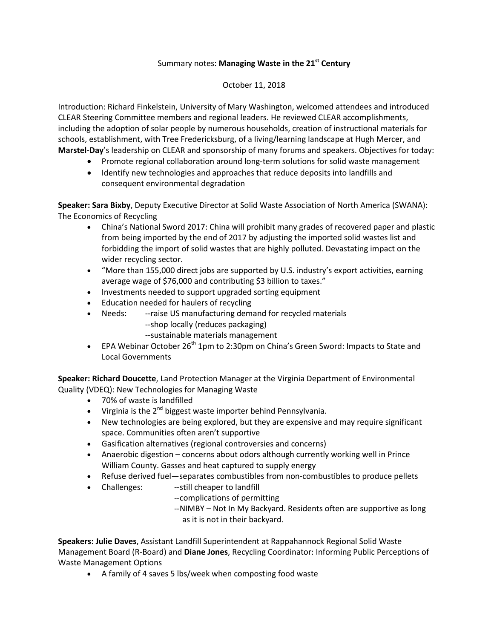## Summary notes: **Managing Waste in the 21st Century**

## October 11, 2018

Introduction: Richard Finkelstein, University of Mary Washington, welcomed attendees and introduced CLEAR Steering Committee members and regional leaders. He reviewed CLEAR accomplishments, including the adoption of solar people by numerous households, creation of instructional materials for schools, establishment, with Tree Fredericksburg, of a living/learning landscape at Hugh Mercer, and **Marstel-Day**'s leadership on CLEAR and sponsorship of many forums and speakers. Objectives for today:

- Promote regional collaboration around long-term solutions for solid waste management
- Identify new technologies and approaches that reduce deposits into landfills and consequent environmental degradation

**Speaker: Sara Bixby**, Deputy Executive Director at Solid Waste Association of North America (SWANA): The Economics of Recycling

- China's National Sword 2017: China will prohibit many grades of recovered paper and plastic from being imported by the end of 2017 by adjusting the imported solid wastes list and forbidding the import of solid wastes that are highly polluted. Devastating impact on the wider recycling sector.
- "More than 155,000 direct jobs are supported by U.S. industry's export activities, earning average wage of \$76,000 and contributing \$3 billion to taxes."
- Investments needed to support upgraded sorting equipment
- Education needed for haulers of recycling
- Needs: --raise US manufacturing demand for recycled materials
	- --shop locally (reduces packaging)
	- --sustainable materials management
- EPA Webinar October  $26^{th}$  1pm to 2:30pm on China's Green Sword: Impacts to State and Local Governments

**Speaker: Richard Doucette**, Land Protection Manager at the Virginia Department of Environmental Quality (VDEQ): New Technologies for Managing Waste

- 70% of waste is landfilled
- Virginia is the  $2^{nd}$  biggest waste importer behind Pennsylvania.
- New technologies are being explored, but they are expensive and may require significant space. Communities often aren't supportive
- Gasification alternatives (regional controversies and concerns)
- Anaerobic digestion concerns about odors although currently working well in Prince William County. Gasses and heat captured to supply energy
- Refuse derived fuel—separates combustibles from non-combustibles to produce pellets
- Challenges: ---still cheaper to landfill
	- --complications of permitting
	- --NIMBY Not In My Backyard. Residents often are supportive as long as it is not in their backyard.

**Speakers: Julie Daves**, Assistant Landfill Superintendent at Rappahannock Regional Solid Waste Management Board (R-Board) and **Diane Jones**, Recycling Coordinator: Informing Public Perceptions of Waste Management Options

• A family of 4 saves 5 lbs/week when composting food waste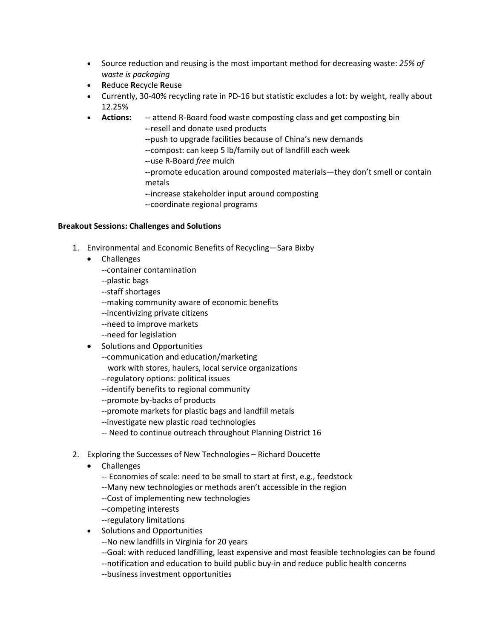- Source reduction and reusing is the most important method for decreasing waste: *25% of waste is packaging*
- **R**educe **R**ecycle **R**euse
- Currently, 30-40% recycling rate in PD-16 but statistic excludes a lot: by weight, really about 12.25%
- **Actions:** -- attend R-Board food waste composting class and get composting bin
	- **-**-resell and donate used products
	- **-**-push to upgrade facilities because of China's new demands
	- **-**-compost: can keep 5 lb/family out of landfill each week
	- **-**-use R-Board *free* mulch
	- **-**-promote education around composted materials—they don't smell or contain metals
	- **-**-increase stakeholder input around composting
	- **-**-coordinate regional programs

## **Breakout Sessions: Challenges and Solutions**

- 1. Environmental and Economic Benefits of Recycling—Sara Bixby
	- Challenges
		- --container contamination
		- --plastic bags
		- --staff shortages
		- --making community aware of economic benefits
		- --incentivizing private citizens
		- --need to improve markets
		- --need for legislation
	- Solutions and Opportunities
		- --communication and education/marketing
			- work with stores, haulers, local service organizations
		- --regulatory options: political issues
		- --identify benefits to regional community
		- --promote by-backs of products
		- --promote markets for plastic bags and landfill metals
		- --investigate new plastic road technologies
		- -- Need to continue outreach throughout Planning District 16
- 2. Exploring the Successes of New Technologies Richard Doucette
	- Challenges
		- -- Economies of scale: need to be small to start at first, e.g., feedstock
		- --Many new technologies or methods aren't accessible in the region
		- --Cost of implementing new technologies
		- --competing interests
		- --regulatory limitations
	- Solutions and Opportunities
		- --No new landfills in Virginia for 20 years
		- --Goal: with reduced landfilling, least expensive and most feasible technologies can be found
		- --notification and education to build public buy-in and reduce public health concerns
		- --business investment opportunities